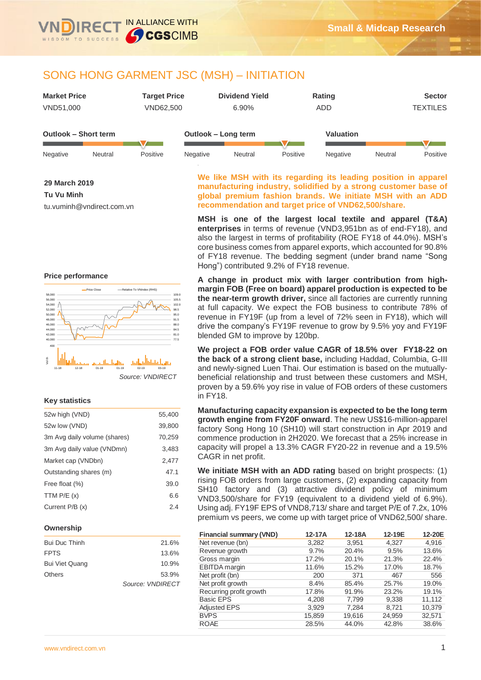

# SONG HONG GARMENT JSC (MSH) – INITIATION

| <b>Market Price</b>  | <b>Target Price</b> | <b>Dividend Yield</b> | Rating           | <b>Sector</b>   |
|----------------------|---------------------|-----------------------|------------------|-----------------|
| VND51,000            | VND62,500           | 6.90%                 | ADD              | <b>TEXTILES</b> |
|                      |                     |                       |                  |                 |
| Outlook - Short term |                     | Outlook – Long term   | <b>Valuation</b> |                 |

| Negative | Neutral | Positive | Negative | Neutral | Positive | Negative | Neutral | Positive |
|----------|---------|----------|----------|---------|----------|----------|---------|----------|

**29 March 2019 Tu Vu Minh** tu.vuminh@vndirect.com.vn

**We like MSH with its regarding its leading position in apparel manufacturing industry, solidified by a strong customer base of global premium fashion brands. We initiate MSH with an ADD recommendation and target price of VND62,500/share.** 

**MSH is one of the largest local textile and apparel (T&A) enterprises** in terms of revenue (VND3,951bn as of end-FY18), and also the largest in terms of profitability (ROE FY18 of 44.0%). MSH's core business comes from apparel exports, which accounted for 90.8% of FY18 revenue. The bedding segment (under brand name "Song Hong") contributed 9.2% of FY18 revenue.

**A change in product mix with larger contribution from highmargin FOB (Free on board) apparel production is expected to be the near-term growth driver,** since all factories are currently running at full capacity. We expect the FOB business to contribute 78% of revenue in FY19F (up from a level of 72% seen in FY18), which will drive the company's FY19F revenue to grow by 9.5% yoy and FY19F blended GM to improve by 120bp.

**We project a FOB order value CAGR of 18.5% over FY18-22 on the back of a strong client base,** including Haddad, Columbia, G-III and newly-signed Luen Thai. Our estimation is based on the mutuallybeneficial relationship and trust between these customers and MSH, proven by a 59.6% yoy rise in value of FOB orders of these customers in FY18.

**Manufacturing capacity expansion is expected to be the long term growth engine from FY20F onward**. The new US\$16-million-apparel factory Song Hong 10 (SH10) will start construction in Apr 2019 and commence production in 2H2020. We forecast that a 25% increase in capacity will propel a 13.3% CAGR FY20-22 in revenue and a 19.5% CAGR in net profit.

**We initiate MSH with an ADD rating** based on bright prospects: (1) rising FOB orders from large customers, (2) expanding capacity from SH10 factory and (3) attractive dividend policy of minimum VND3,500/share for FY19 (equivalent to a dividend yield of 6.9%). Using adj. FY19F EPS of VND8,713/ share and target P/E of 7.2x, 10% premium vs peers, we come up with target price of VND62,500/ share.

| <b>Financial summary (VND)</b> | 12-17A | 12-18A | 12-19E | 12-20E |
|--------------------------------|--------|--------|--------|--------|
| Net revenue (bn)               | 3,282  | 3.951  | 4.327  | 4.916  |
| Revenue growth                 | 9.7%   | 20.4%  | 9.5%   | 13.6%  |
| Gross margin                   | 17.2%  | 20.1%  | 21.3%  | 22.4%  |
| EBITDA margin                  | 11.6%  | 15.2%  | 17.0%  | 18.7%  |
| Net profit (bn)                | 200    | 371    | 467    | 556    |
| Net profit growth              | 8.4%   | 85.4%  | 25.7%  | 19.0%  |
| Recurring profit growth        | 17.8%  | 91.9%  | 23.2%  | 19.1%  |
| <b>Basic EPS</b>               | 4,208  | 7,799  | 9,338  | 11,112 |
| <b>Adjusted EPS</b>            | 3,929  | 7,284  | 8.721  | 10.379 |
| <b>BVPS</b>                    | 15,859 | 19,616 | 24,959 | 32,571 |
| <b>ROAE</b>                    | 28.5%  | 44.0%  | 42.8%  | 38.6%  |

### **Price performance**



### **Key statistics**

| 52w high (VND)               | 55,400 |
|------------------------------|--------|
| 52w low (VND)                | 39,800 |
| 3m Avg daily volume (shares) | 70,259 |
| 3m Avg daily value (VNDmn)   | 3,483  |
| Market cap (VNDbn)           | 2,477  |
| Outstanding shares (m)       | 47.1   |
| Free float (%)               | 39.0   |
| TTM $P/E(x)$                 | 6.6    |
| Current P/B (x)              | 2.4    |
|                              |        |

### **Ownership**

| Bui Duc Thinh         | 21.6%            |
|-----------------------|------------------|
| <b>FPTS</b>           | 13.6%            |
| <b>Bui Viet Quang</b> | 10.9%            |
| Others                | 53.9%            |
|                       | Source: VNDIRECT |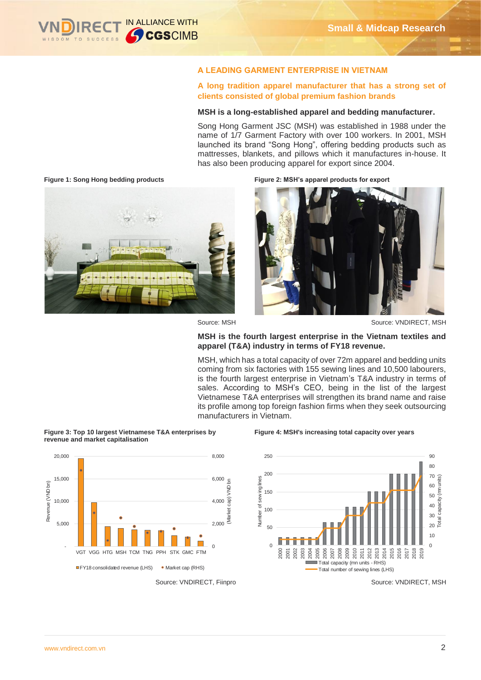

### **A LEADING GARMENT ENTERPRISE IN VIETNAM**

**A long tradition apparel manufacturer that has a strong set of clients consisted of global premium fashion brands** 

### **MSH is a long-established apparel and bedding manufacturer.**

Song Hong Garment JSC (MSH) was established in 1988 under the name of 1/7 Garment Factory with over 100 workers. In 2001, MSH launched its brand "Song Hong", offering bedding products such as mattresses, blankets, and pillows which it manufactures in-house. It has also been producing apparel for export since 2004.

**Figure 1: Song Hong bedding products Figure 2: MSH's apparel products for export** 





6,000

 $\mathbf{r}$ 

Ī

8,000

Source: MSH Source: VNDIRECT, MSH

### **MSH is the fourth largest enterprise in the Vietnam textiles and apparel (T&A) industry in terms of FY18 revenue.**

MSH, which has a total capacity of over 72m apparel and bedding units coming from six factories with 155 sewing lines and 10,500 labourers, is the fourth largest enterprise in Vietnam's T&A industry in terms of sales. According to MSH's CEO, being in the list of the largest Vietnamese T&A enterprises will strengthen its brand name and raise its profile among top foreign fashion firms when they seek outsourcing manufacturers in Vietnam.









15,000

20,000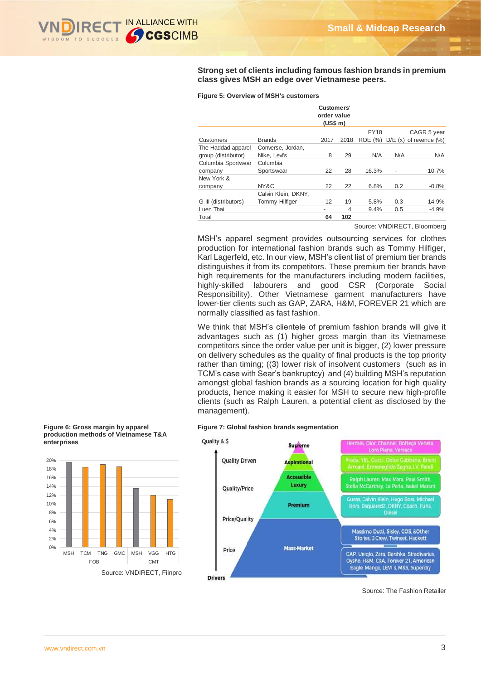

**Strong set of clients including famous fashion brands in premium class gives MSH an edge over Vietnamese peers.** 

|                      |                     | Customers'<br>order value<br>(US\$ m) |                          |             |     |                            |
|----------------------|---------------------|---------------------------------------|--------------------------|-------------|-----|----------------------------|
|                      |                     |                                       |                          | <b>FY18</b> |     | CAGR 5 year                |
| Customers            | <b>Brands</b>       | 2017                                  | 2018                     | ROE (%)     |     | $D/E(x)$ of revenue $(\%)$ |
| The Haddad apparel   | Converse, Jordan,   |                                       |                          |             |     |                            |
| group (distributor)  | Nike, Levi's        | 8                                     | 29                       | N/A         | N/A | N/A                        |
| Columbia Sportwear   | Columbia            |                                       |                          |             |     |                            |
| company              | Sportswear          | 22                                    | 28                       | 16.3%       | -   | 10.7%                      |
| New York &           |                     |                                       |                          |             |     |                            |
| company              | NY&C                | 22                                    | 22                       | 6.8%        | 0.2 | $-0.8%$                    |
|                      | Calvin Klein, DKNY, |                                       |                          |             |     |                            |
| G-III (distributors) | Tommy Hilfiger      | 12                                    | 19                       | 5.8%        | 0.3 | 14.9%                      |
| Luen Thai            |                     |                                       | $\overline{\mathcal{A}}$ | 9.4%        | 0.5 | $-4.9%$                    |
| Total                |                     | 64                                    | 102                      |             |     |                            |

#### **Figure 5: Overview of MSH's customers**

Source: VNDIRECT, Bloomberg

MSH's apparel segment provides outsourcing services for clothes production for international fashion brands such as Tommy Hilfiger, Karl Lagerfeld, etc. In our view, MSH's client list of premium tier brands distinguishes it from its competitors. These premium tier brands have high requirements for the manufacturers including modern facilities, highly-skilled labourers and good CSR (Corporate Social Responsibility). Other Vietnamese garment manufacturers have lower-tier clients such as GAP, ZARA, H&M, FOREVER 21 which are normally classified as fast fashion.

We think that MSH's clientele of premium fashion brands will give it advantages such as (1) higher gross margin than its Vietnamese competitors since the order value per unit is bigger, (2) lower pressure on delivery schedules as the quality of final products is the top priority rather than timing; ((3) lower risk of insolvent customers (such as in TCM's case with Sear's bankruptcy) and (4) building MSH's reputation amongst global fashion brands as a sourcing location for high quality products, hence making it easier for MSH to secure new high-profile clients (such as Ralph Lauren, a potential client as disclosed by the management).

#### **Figure 7: Global fashion brands segmentation**



Source: The Fashion Retailer

#### **Figure 6: Gross margin by apparel production methods of Vietnamese T&A enterprises**



[www.vndirect.com.vn](file:///D:/efa/www.vndirect.com.vn) 3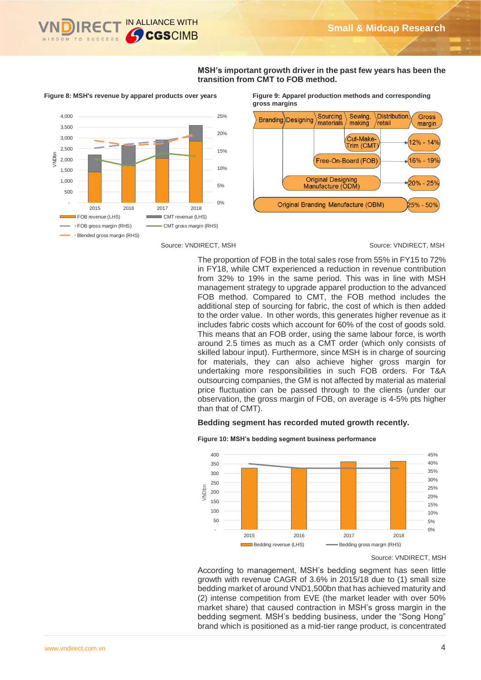

**MSH's important growth driver in the past few years has been the transition from CMT to FOB method.**



Source: VNDIRECT, MSH Source: VNDIRECT, MSH

**Figure 8: MSH's revenue by apparel products over years Figure 9: Apparel production methods and corresponding gross margins**



The proportion of FOB in the total sales rose from 55% in FY15 to 72% in FY18, while CMT experienced a reduction in revenue contribution from 32% to 19% in the same period. This was in line with MSH management strategy to upgrade apparel production to the advanced FOB method. Compared to CMT, the FOB method includes the additional step of sourcing for fabric, the cost of which is then added to the order value. In other words, this generates higher revenue as it includes fabric costs which account for 60% of the cost of goods sold. This means that an FOB order, using the same labour force, is worth around 2.5 times as much as a CMT order (which only consists of skilled labour input). Furthermore, since MSH is in charge of sourcing for materials, they can also achieve higher gross margin for undertaking more responsibilities in such FOB orders. For T&A outsourcing companies, the GM is not affected by material as material price fluctuation can be passed through to the clients (under our observation, the gross margin of FOB, on average is 4-5% pts higher than that of CMT). **Example of the space of the space of the space of the space of the space of the space of the space of the space of the space of the space of the space of the space of the space of the space of the space of the space of t** 

### **Bedding segment has recorded muted growth recently.**



**Figure 10: MSH's bedding segment business performance**

According to management, MSH's bedding segment has seen little growth with revenue CAGR of 3.6% in 2015/18 due to (1) small size bedding market of around VND1,500bn that has achieved maturity and (2) intense competition from EVE (the market leader with over 50% market share) that caused contraction in MSH's gross margin in the bedding segment. MSH's bedding business, under the "Song Hong"

Source: VNDIRECT, MSH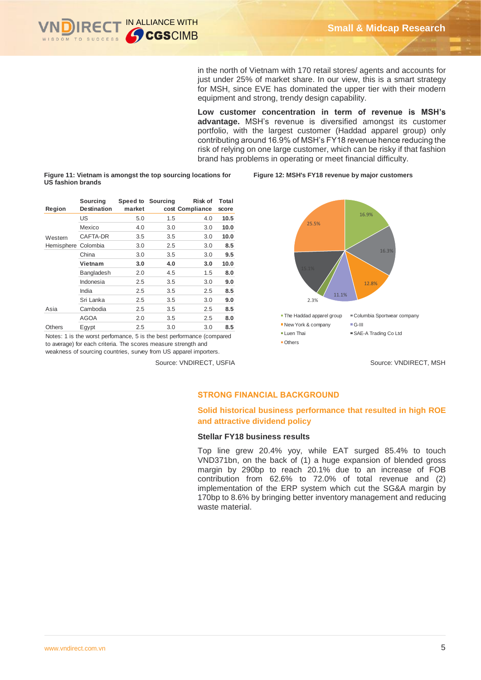

in the north of Vietnam with 170 retail stores/ agents and accounts for just under 25% of market share. In our view, this is a smart strategy for MSH, since EVE has dominated the upper tier with their modern equipment and strong, trendy design capability.

**Low customer concentration in term of revenue is MSH's advantage.** MSH's revenue is diversified amongst its customer portfolio, with the largest customer (Haddad apparel group) only contributing around 16.9% of MSH's FY18 revenue hence reducing the risk of relying on one large customer, which can be risky if that fashion brand has problems in operating or meet financial difficulty.

**Figure 12: MSH's FY18 revenue by major customers**

**Figure 11: Vietnam is amongst the top sourcing locations for US fashion brands**

| Region     | Sourcing<br><b>Destination</b> | market | Speed to Sourcing | Risk of<br>cost Compliance | Total<br>score |
|------------|--------------------------------|--------|-------------------|----------------------------|----------------|
|            | US                             | 5.0    | 1.5               | 4.0                        | 10.5           |
|            | Mexico                         | 4.0    | 3.0               | 3.0                        | 10.0           |
| Western    | CAFTA-DR                       | 3.5    | 3.5               | 3.0                        | 10.0           |
| Hemisphere | Colombia                       | 3.0    | 2.5               | 3.0                        | 8.5            |
|            | China                          | 3.0    | 3.5               | 3.0                        | 9.5            |
|            | Vietnam                        | 3.0    | 4.0               | 3.0                        | 10.0           |
|            | Bangladesh                     | 2.0    | 4.5               | 1.5                        | 8.0            |
|            | Indonesia                      | 2.5    | 3.5               | 3.0                        | 9.0            |
|            | India                          | 2.5    | 3.5               | 2.5                        | 8.5            |
|            | Sri Lanka                      | 2.5    | 3.5               | 3.0                        | 9.0            |
| Asia       | Cambodia                       | 2.5    | 3.5               | 2.5                        | 8.5            |
|            | AGOA                           | 2.0    | 3.5               | 2.5                        | 8.0            |
| Others     | Egypt                          | 2.5    | 3.0               | 3.0                        | 8.5            |

Notes: 1 is the worst perfomance, 5 is the best performance (compared to average) for each criteria. The scores measure strength and weakness of sourcing countries, survey from US apparel importers.



Source: VNDIRECT, USFIA Source: VNDIRECT, MSH

### **STRONG FINANCIAL BACKGROUND**

### **Solid historical business performance that resulted in high ROE and attractive dividend policy**

### **Stellar FY18 business results**

Top line grew 20.4% yoy, while EAT surged 85.4% to touch VND371bn, on the back of (1) a huge expansion of blended gross margin by 290bp to reach 20.1% due to an increase of FOB contribution from 62.6% to 72.0% of total revenue and (2) implementation of the ERP system which cut the SG&A margin by 170bp to 8.6% by bringing better inventory management and reducing waste material.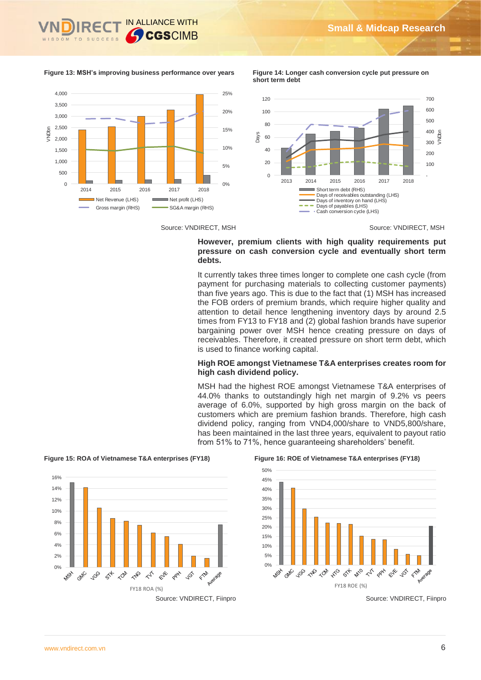

#### **Figure 13: MSH's improving business performance over years Figure 14: Longer cash conversion cycle put pressure on**



**short term debt**



Source: VNDIRECT, MSH Source: VNDIRECT, MSH

### **However, premium clients with high quality requirements put pressure on cash conversion cycle and eventually short term debts.**

It currently takes three times longer to complete one cash cycle (from payment for purchasing materials to collecting customer payments) than five years ago. This is due to the fact that (1) MSH has increased the FOB orders of premium brands, which require higher quality and attention to detail hence lengthening inventory days by around 2.5 times from FY13 to FY18 and (2) global fashion brands have superior bargaining power over MSH hence creating pressure on days of receivables. Therefore, it created pressure on short term debt, which is used to finance working capital.

### **High ROE amongst Vietnamese T&A enterprises creates room for high cash dividend policy.**

MSH had the highest ROE amongst Vietnamese T&A enterprises of 44.0% thanks to outstandingly high net margin of 9.2% vs peers average of 6.0%, supported by high gross margin on the back of customers which are premium fashion brands. Therefore, high cash dividend policy, ranging from VND4,000/share to VND5,800/share, has been maintained in the last three years, equivalent to payout ratio from 51% to 71%, hence guaranteeing shareholders' benefit.



**Figure 15: ROA of Vietnamese T&A enterprises (FY18) Figure 16: ROE of Vietnamese T&A enterprises (FY18)**

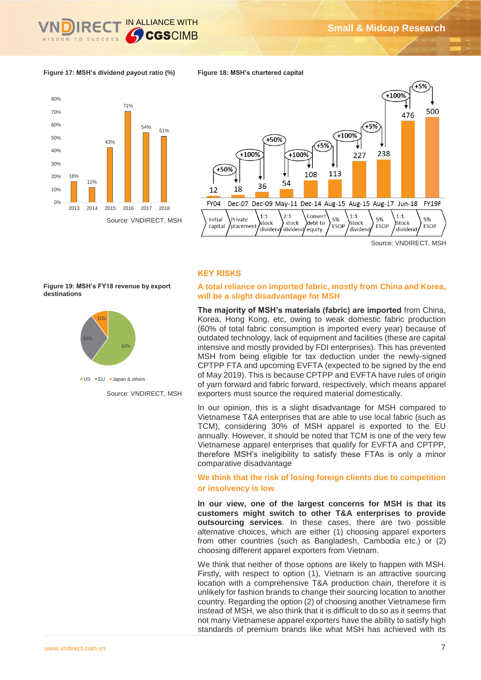

### **Figure 17: MSH's dividend payout ratio (%)**





Source: VNDIRECT, MSH

### **KEY RISKS**

**Figure 18: MSH's chartered capital**

### **A total reliance on imported fabric, mostly from China and Korea, will be a slight disadvantage for MSH**

The majority of MSH's materials (fabric) are imported from China, Korea, Hong Kong, etc, owing to weak domestic fabric production (60% of total fabric consumption is imported every year) because of outdated technology, lack of equipment and facilities (these are capital  $\frac{1}{10\%}$  intensive and mostly provided by FDI enterprises). This has prevented MSH from being eligible for tax deduction under the newly-signed CPTPP FTA and upcoming EVFTA (expected to be signed by the end of May 2019). This is because CPTPP and EVFTA have rules of origin of yarn forward and fabric forward, respectively, which means apparel exporters must source the required material domestically.

> In our opinion, this is a slight disadvantage for MSH compared to Vietnamese T&A enterprises that are able to use local fabric (such as TCM), considering 30% of MSH apparel is exported to the EU annually. However, it should be noted that TCM is one of the very few Vietnamese apparel enterprises that qualify for EVFTA and CPTPP, therefore MSH's ineligibility to satisfy these FTAs is only a minor comparative disadvantage

### **We think that the risk of losing foreign clients due to competition or insolvency is low**

**In our view, one of the largest concerns for MSH is that its customers might switch to other T&A enterprises to provide outsourcing services**. In these cases, there are two possible alternative choices, which are either (1) choosing apparel exporters from other countries (such as Bangladesh, Cambodia etc.) or (2) choosing different apparel exporters from Vietnam.

We think that neither of those options are likely to happen with MSH. Firstly, with respect to option (1), Vietnam is an attractive sourcing location with a comprehensive T&A production chain, therefore it is unlikely for fashion brands to change their sourcing location to another country. Regarding the option (2) of choosing another Vietnamese firm instead of MSH, we also think that it is difficult to do so as it seems that not many Vietnamese apparel exporters have the ability to satisfy high standards of premium brands like what MSH has achieved with its

**Figure 19: MSH's FY18 revenue by export destinations**



 $\blacksquare$  US  $\blacksquare$  EU  $\blacksquare$  Japan & others

Source: VNDIRECT, MSH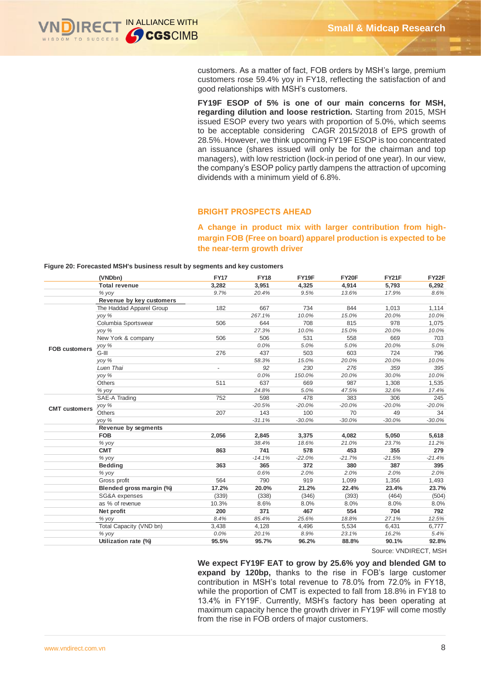

customers. As a matter of fact, FOB orders by MSH's large, premium customers rose 59.4% yoy in FY18, reflecting the satisfaction of and good relationships with MSH's customers.

**FY19F ESOP of 5% is one of our main concerns for MSH, regarding dilution and loose restriction.** Starting from 2015, MSH issued ESOP every two years with proportion of 5.0%, which seems to be acceptable considering CAGR 2015/2018 of EPS growth of 28.5%. However, we think upcoming FY19F ESOP is too concentrated an issuance (shares issued will only be for the chairman and top managers), with low restriction (lock-in period of one year). In our view, the company's ESOP policy partly dampens the attraction of upcoming dividends with a minimum yield of 6.8%.

### **BRIGHT PROSPECTS AHEAD**

**A change in product mix with larger contribution from highmargin FOB (Free on board) apparel production is expected to be the near-term growth driver**

#### **Figure 20: Forecasted MSH's business result by segments and key customers**

|                      | (VNDbn)                  | <b>FY17</b>              | <b>FY18</b> | FY19F                                                                 | FY20F    | FY21F                 | FY22F     |
|----------------------|--------------------------|--------------------------|-------------|-----------------------------------------------------------------------|----------|-----------------------|-----------|
|                      | <b>Total revenue</b>     | 3,282                    | 3,951       | 4,325                                                                 | 4,914    | 5,793                 | 6,292     |
|                      | % yoy                    | 9.7%                     | 20.4%       | 9.5%                                                                  | 13.6%    | 17.9%                 | 8.6%      |
|                      | Revenue by key customers |                          |             |                                                                       |          |                       |           |
|                      | The Haddad Apparel Group | 182                      | 667         | 734                                                                   | 844      | 1,013                 | 1,114     |
|                      | yoy %                    |                          | 267.1%      | 10.0%                                                                 | 15.0%    | 20.0%                 | 10.0%     |
|                      | Columbia Sportswear      | 506                      | 644         | 708                                                                   | 815      | 978                   | 1,075     |
|                      | yoy %                    |                          | 27.3%       | 10.0%                                                                 | 15.0%    | 20.0%                 | 10.0%     |
|                      | New York & company       | 506                      | 506         | 531                                                                   | 558      | 669                   | 703       |
| <b>FOB customers</b> | yoy %                    |                          | 0.0%        | 5.0%                                                                  | 5.0%     | 20.0%                 | 5.0%      |
|                      | G-III                    | 276                      | 437         | 503                                                                   | 603      | 724                   | 796       |
|                      | yoy %                    |                          | 58.3%       | 15.0%                                                                 | 20.0%    | 20.0%                 | 10.0%     |
|                      | Luen Thai                | $\overline{\phantom{a}}$ | 92          | 230                                                                   | 276      | 359                   | 395       |
|                      | yoy %                    |                          | 0.0%        | 150.0%                                                                | 20.0%    | 30.0%                 | 10.0%     |
|                      | Others                   | 511                      | 637         | 669                                                                   | 987      | 1,308                 | 1,535     |
|                      | % yoy                    |                          | 24.8%       | 5.0%                                                                  | 47.5%    | 32.6%                 | 17.4%     |
|                      | SAE-A Trading            | 752                      | 598         | 478                                                                   | 383      | 306                   | 245       |
| <b>CMT</b> customers | yoy %                    |                          | $-20.5%$    | $-20.0%$                                                              | $-20.0%$ | $-20.0%$              | $-20.0\%$ |
|                      | Others                   | 207                      | 143         | 100                                                                   | 70       | 49                    | 34        |
|                      | yoy %                    |                          | $-31.1%$    | $-30.0%$                                                              | $-30.0%$ | $-30.0%$              | $-30.0\%$ |
|                      | Revenue by segments      |                          |             |                                                                       |          |                       |           |
|                      | <b>FOB</b>               | 2,056                    | 2,845       | 3,375                                                                 | 4,082    | 5,050                 | 5,618     |
|                      | % yoy                    |                          | 38.4%       | 18.6%                                                                 | 21.0%    | 23.7%                 | 11.2%     |
|                      | <b>CMT</b>               | 863                      | 741         | 578                                                                   | 453      | 355                   | 279       |
|                      | % yoy                    |                          | $-14.1%$    | $-22.0%$                                                              | $-21.7%$ | $-21.5%$              | $-21.4%$  |
|                      | <b>Bedding</b>           | 363                      | 365         | 372                                                                   | 380      | 387                   | 395       |
|                      | % yoy                    |                          | 0.6%        | 2.0%                                                                  | 2.0%     | 2.0%                  | 2.0%      |
|                      | Gross profit             | 564                      | 790         | 919                                                                   | 1,099    | 1,356                 | 1,493     |
|                      | Blended gross margin (%) | 17.2%                    | 20.0%       | 21.2%                                                                 | 22.4%    | 23.4%                 | 23.7%     |
|                      | SG&A expenses            | (339)                    | (338)       | (346)                                                                 | (393)    | (464)                 | (504)     |
|                      | as % of revenue          | 10.3%                    | 8.6%        | 8.0%                                                                  | 8.0%     | 8.0%                  | 8.0%      |
|                      | Net profit               | 200                      | 371         | 467                                                                   | 554      | 704                   | 792       |
|                      | % yoy                    | 8.4%                     | 85.4%       | 25.6%                                                                 | 18.8%    | 27.1%                 | 12.5%     |
|                      | Total Capacity (VND bn)  | 3,438                    | 4,128       | 4,496                                                                 | 5,534    | 6,431                 | 6,777     |
|                      | % yoy                    | 0.0%                     | 20.1%       | 8.9%                                                                  | 23.1%    | 16.2%                 | 5.4%      |
|                      | Utilization rate (%)     | 95.5%                    | 95.7%       | 96.2%                                                                 | 88.8%    | 90.1%                 | 92.8%     |
|                      |                          |                          |             |                                                                       |          | Source: VNDIRECT, MSH |           |
|                      |                          |                          |             |                                                                       |          |                       |           |
|                      |                          |                          |             | We expect FY19F EAT to grow by 25.6% yoy and blended GM to            |          |                       |           |
|                      |                          |                          |             | expand by 120bp, thanks to the rise in FOB's large customer           |          |                       |           |
|                      |                          |                          |             | contribution in MSH's total revenue to 78.0% from 72.0% in FY18,      |          |                       |           |
|                      |                          |                          |             |                                                                       |          |                       |           |
|                      |                          |                          |             | while the proportion of CMT is expected to fall from 18.8% in FY18 to |          |                       |           |
|                      |                          |                          |             | 13.4% in FY19F. Currently, MSH's factory has been operating at        |          |                       |           |
|                      |                          |                          |             | maximum capacity hence the growth driver in FY19F will come mostly    |          |                       |           |
|                      |                          |                          |             | from the rise in FOB orders of major customers.                       |          |                       |           |
|                      |                          |                          |             |                                                                       |          |                       |           |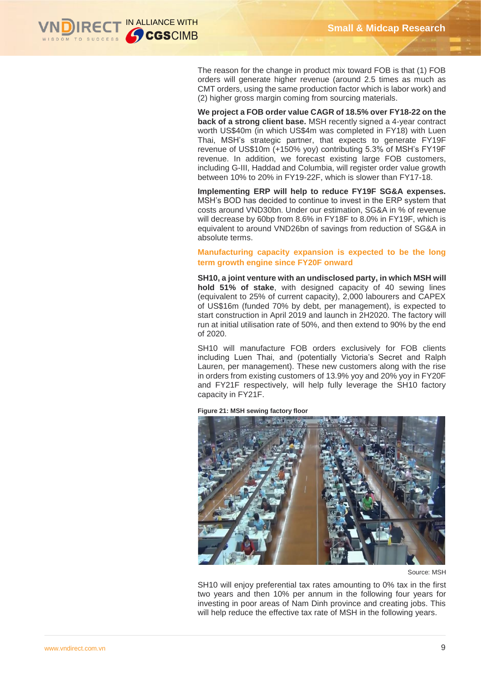

The reason for the change in product mix toward FOB is that (1) FOB orders will generate higher revenue (around 2.5 times as much as CMT orders, using the same production factor which is labor work) and (2) higher gross margin coming from sourcing materials.

**We project a FOB order value CAGR of 18.5% over FY18-22 on the back of a strong client base.** MSH recently signed a 4-year contract worth US\$40m (in which US\$4m was completed in FY18) with Luen Thai, MSH's strategic partner, that expects to generate FY19F revenue of US\$10m (+150% yoy) contributing 5.3% of MSH's FY19F revenue. In addition, we forecast existing large FOB customers, including G-III, Haddad and Columbia, will register order value growth between 10% to 20% in FY19-22F, which is slower than FY17-18.

**Implementing ERP will help to reduce FY19F SG&A expenses.**  MSH's BOD has decided to continue to invest in the ERP system that costs around VND30bn. Under our estimation, SG&A in % of revenue will decrease by 60bp from 8.6% in FY18F to 8.0% in FY19F, which is equivalent to around VND26bn of savings from reduction of SG&A in absolute terms.

### **Manufacturing capacity expansion is expected to be the long term growth engine since FY20F onward**

**SH10, a joint venture with an undisclosed party, in which MSH will hold 51% of stake**, with designed capacity of 40 sewing lines (equivalent to 25% of current capacity), 2,000 labourers and CAPEX of US\$16m (funded 70% by debt, per management), is expected to start construction in April 2019 and launch in 2H2020. The factory will run at initial utilisation rate of 50%, and then extend to 90% by the end of 2020.

SH10 will manufacture FOB orders exclusively for FOB clients including Luen Thai, and (potentially Victoria's Secret and Ralph Lauren, per management). These new customers along with the rise in orders from existing customers of 13.9% yoy and 20% yoy in FY20F and FY21F respectively, will help fully leverage the SH10 factory capacity in FY21F.



**Figure 21: MSH sewing factory floor**

Source: MSH

SH10 will enjoy preferential tax rates amounting to 0% tax in the first two years and then 10% per annum in the following four years for investing in poor areas of Nam Dinh province and creating jobs. This will help reduce the effective tax rate of MSH in the following years.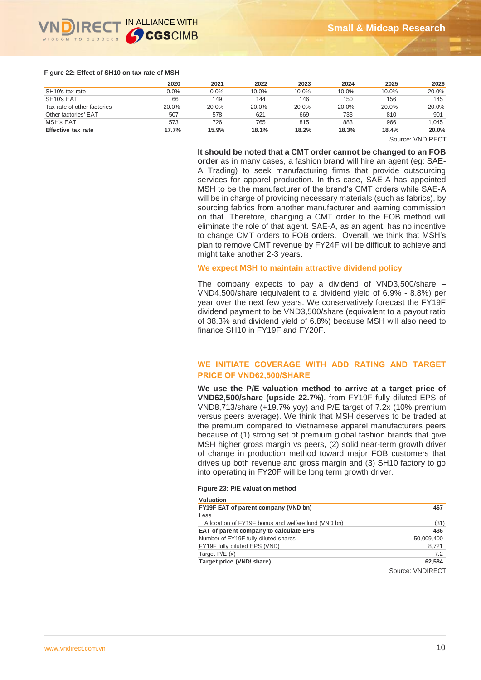

#### **Figure 22: Effect of SH10 on tax rate of MSH**

|                              | 2020    | 2021  | 2022  | 2023  | 2024  | 2025  | 2026  |
|------------------------------|---------|-------|-------|-------|-------|-------|-------|
| SH <sub>10</sub> 's tax rate | $0.0\%$ | 0.0%  | 10.0% | 10.0% | 10.0% | 10.0% | 20.0% |
| SH10's EAT                   | 66      | 149   | 144   | 146   | 150   | 156   | 145   |
| Tax rate of other factories  | 20.0%   | 20.0% | 20.0% | 20.0% | 20.0% | 20.0% | 20.0% |
| Other factories' EAT         | 507     | 578   | 621   | 669   | 733   | 810   | 901   |
| MSH's EAT                    | 573     | 726   | 765   | 815   | 883   | 966   | 1.045 |
| Effective tax rate           | 17.7%   | 15.9% | 18.1% | 18.2% | 18.3% | 18.4% | 20.0% |

Source: VNDIRECT

#### **It should be noted that a CMT order cannot be changed to an FOB**

**order** as in many cases, a fashion brand will hire an agent (eg: SAE-A Trading) to seek manufacturing firms that provide outsourcing services for apparel production. In this case, SAE-A has appointed MSH to be the manufacturer of the brand's CMT orders while SAE-A will be in charge of providing necessary materials (such as fabrics), by sourcing fabrics from another manufacturer and earning commission on that. Therefore, changing a CMT order to the FOB method will eliminate the role of that agent. SAE-A, as an agent, has no incentive to change CMT orders to FOB orders. Overall, we think that MSH's plan to remove CMT revenue by FY24F will be difficult to achieve and might take another 2-3 years.

### **We expect MSH to maintain attractive dividend policy**

The company expects to pay a dividend of VND3,500/share – VND4,500/share (equivalent to a dividend yield of 6.9% - 8.8%) per year over the next few years. We conservatively forecast the FY19F dividend payment to be VND3,500/share (equivalent to a payout ratio of 38.3% and dividend yield of 6.8%) because MSH will also need to finance SH10 in FY19F and FY20F.

### **WE INITIATE COVERAGE WITH ADD RATING AND TARGET PRICE OF VND62,500/SHARE**

**We use the P/E valuation method to arrive at a target price of VND62,500/share (upside 22.7%)**, from FY19F fully diluted EPS of VND8,713/share (+19.7% yoy) and P/E target of 7.2x (10% premium versus peers average). We think that MSH deserves to be traded at the premium compared to Vietnamese apparel manufacturers peers because of (1) strong set of premium global fashion brands that give MSH higher gross margin vs peers, (2) solid near-term growth driver of change in production method toward major FOB customers that drives up both revenue and gross margin and (3) SH10 factory to go into operating in FY20F will be long term growth driver.

#### **Figure 23: P/E valuation method**

**Valuation** 

| valuation                                           |                  |
|-----------------------------------------------------|------------------|
| FY19F EAT of parent company (VND bn)                | 467              |
| Less                                                |                  |
| Allocation of FY19F bonus and welfare fund (VND bn) | (31)             |
| EAT of parent company to calculate EPS              | 436              |
| Number of FY19F fully diluted shares                | 50,009,400       |
| FY19F fully diluted EPS (VND)                       | 8.721            |
| Target $P/E(x)$                                     | 7.2              |
| Target price (VND/ share)                           | 62.584           |
|                                                     | COURON VAINIDENT |

Source: VNDIRECT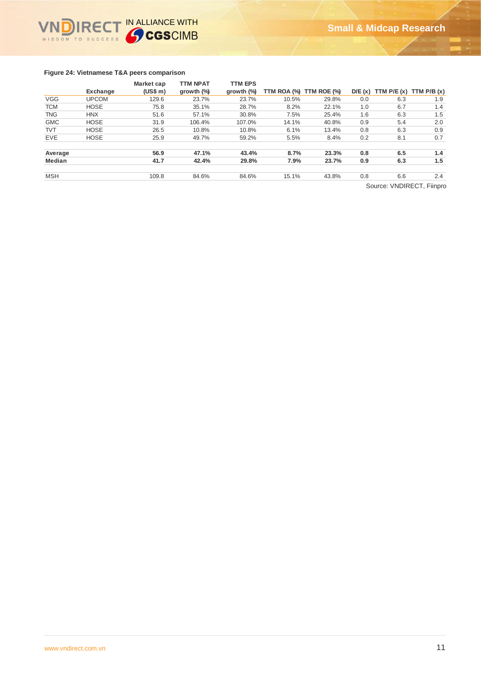

### **Figure 24: Vietnamese T&A peers comparison**

|               |              | <b>Market cap</b> | <b>TTM NPAT</b>      | <b>TTM EPS</b>       |       |                         |     |                                    |     |
|---------------|--------------|-------------------|----------------------|----------------------|-------|-------------------------|-----|------------------------------------|-----|
|               | Exchange     | (US\$ m)          | growth $\frac{9}{9}$ | growth $\frac{9}{9}$ |       | TTM ROA (%) TTM ROE (%) |     | $D/E(x)$ TTM $P/E(x)$ TTM $P/B(x)$ |     |
| <b>VGG</b>    | <b>UPCOM</b> | 129.6             | 23.7%                | 23.7%                | 10.5% | 29.8%                   | 0.0 | 6.3                                | 1.9 |
| <b>TCM</b>    | <b>HOSE</b>  | 75.8              | 35.1%                | 28.7%                | 8.2%  | 22.1%                   | 1.0 | 6.7                                | 1.4 |
| <b>TNG</b>    | <b>HNX</b>   | 51.6              | 57.1%                | 30.8%                | 7.5%  | 25.4%                   | 1.6 | 6.3                                | 1.5 |
| <b>GMC</b>    | <b>HOSE</b>  | 31.9              | 106.4%               | 107.0%               | 14.1% | 40.8%                   | 0.9 | 5.4                                | 2.0 |
| <b>TVT</b>    | <b>HOSE</b>  | 26.5              | 10.8%                | 10.8%                | 6.1%  | 13.4%                   | 0.8 | 6.3                                | 0.9 |
| <b>EVE</b>    | <b>HOSE</b>  | 25.9              | 49.7%                | 59.2%                | 5.5%  | 8.4%                    | 0.2 | 8.1                                | 0.7 |
| Average       |              | 56.9              | 47.1%                | 43.4%                | 8.7%  | 23.3%                   | 0.8 | 6.5                                | 1.4 |
| <b>Median</b> |              | 41.7              | 42.4%                | 29.8%                | 7.9%  | 23.7%                   | 0.9 | 6.3                                | 1.5 |
| <b>MSH</b>    |              | 109.8             | 84.6%                | 84.6%                | 15.1% | 43.8%                   | 0.8 | 6.6                                | 2.4 |

Source: VNDIRECT, Fiinpro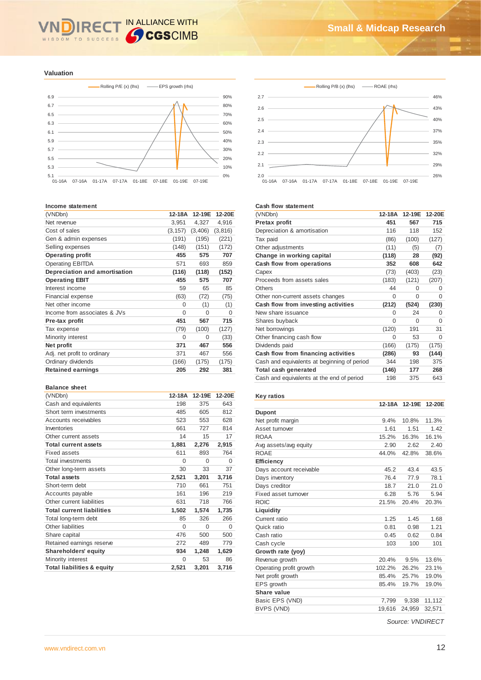# IN ALLIANCE WITH WISDOM TO SUCCESS

#### **Valuation**



#### **Income statement**

| (VNDbn)                       | 12-18A   | 12-19E   | 12-20E   |
|-------------------------------|----------|----------|----------|
| Net revenue                   | 3,951    | 4,327    | 4,916    |
| Cost of sales                 | (3, 157) | (3,406)  | (3,816)  |
| Gen & admin expenses          | (191)    | (195)    | (221)    |
| Selling expenses              | (148)    | (151)    | (172)    |
| <b>Operating profit</b>       | 455      | 575      | 707      |
| <b>Operating EBITDA</b>       | 571      | 693      | 859      |
| Depreciation and amortisation | (116)    | (118)    | (152)    |
| <b>Operating EBIT</b>         | 455      | 575      | 707      |
| Interest income               | 59       | 65       | 85       |
| Financial expense             | (63)     | (72)     | (75)     |
| Net other income              | 0        | (1)      | (1)      |
| Income from associates & JVs  | $\Omega$ | $\Omega$ | $\Omega$ |
| Pre-tax profit                | 451      | 567      | 715      |
| Tax expense                   | (79)     | (100)    | (127)    |
| Minority interest             | $\Omega$ | 0        | (33)     |
| Net profit                    | 371      | 467      | 556      |
| Adj. net profit to ordinary   | 371      | 467      | 556      |
| Ordinary dividends            | (166)    | (175)    | (175)    |
| <b>Retained earnings</b>      | 205      | 292      | 381      |
|                               |          |          |          |

#### **Balance sheet**

| (VNDbn)                               | 12-18A   | 12-19E | 12-20E   |
|---------------------------------------|----------|--------|----------|
| Cash and equivalents                  | 198      | 375    | 643      |
| Short term investments                | 485      | 605    | 812      |
| Accounts receivables                  | 523      | 553    | 628      |
| Inventories                           | 661      | 727    | 814      |
| Other current assets                  | 14       | 15     | 17       |
| <b>Total current assets</b>           | 1,881    | 2,276  | 2,915    |
| Fixed assets                          | 611      | 893    | 764      |
| <b>Total investments</b>              | $\Omega$ | 0      | $\Omega$ |
| Other long-term assets                | 30       | 33     | 37       |
| <b>Total assets</b>                   | 2,521    | 3,201  | 3,716    |
| Short-term debt                       | 710      | 661    | 751      |
| Accounts payable                      | 161      | 196    | 219      |
| Other current liabilities             | 631      | 718    | 766      |
| <b>Total current liabilities</b>      | 1,502    | 1,574  | 1,735    |
| Total long-term debt                  | 85       | 326    | 266      |
| Other liabilities                     | $\Omega$ | 0      | $\Omega$ |
| Share capital                         | 476      | 500    | 500      |
| Retained earnings reserve             | 272      | 489    | 779      |
| Shareholders' equity                  | 934      | 1,248  | 1,629    |
| Minority interest                     | $\Omega$ | 53     | 86       |
| <b>Total liabilities &amp; equity</b> | 2,521    | 3,201  | 3,716    |



#### **Cash flow statement**

| (VNDbn)                                     | 12-18A | 12-19E   | 12-20E |
|---------------------------------------------|--------|----------|--------|
| Pretax profit                               | 451    | 567      | 715    |
| Depreciation & amortisation                 | 116    | 118      | 152    |
| Tax paid                                    | (86)   | (100)    | (127)  |
| Other adjustments                           | (11)   | (5)      | (7)    |
| Change in working capital                   | (118)  | 28       | (92)   |
| Cash flow from operations                   | 352    | 608      | 642    |
| Capex                                       | (73)   | (403)    | (23)   |
| Proceeds from assets sales                  | (183)  | (121)    | (207)  |
| Others                                      | 44     | 0        | 0      |
| Other non-current assets changes            | 0      | $\Omega$ | 0      |
| Cash flow from investing activities         | (212)  | (524)    | (230)  |
| New share issuance                          | 0      | 24       | 0      |
| Shares buyback                              | 0      | $\Omega$ | 0      |
| Net borrowings                              | (120)  | 191      | 31     |
| Other financing cash flow                   | 0      | 53       | 0      |
| Dividends paid                              | (166)  | (175)    | (175)  |
| Cash flow from financing activities         | (286)  | 93       | (144)  |
| Cash and equivalents at beginning of period | 344    | 198      | 375    |
| Total cash generated                        | (146)  | 177      | 268    |
| Cash and equivalents at the end of period   | 198    | 375      | 643    |

#### **Key ratios**

| <b>Dupont</b><br>11.3%<br>9.4%<br>10.8%<br>Net profit margin<br>Asset turnover<br>1.61<br>1.51<br>1.42<br><b>ROAA</b><br>15.2%<br>16.1%<br>16.3%<br>2.62<br>Avg assets/avg equity<br>2.90<br>2.40<br>ROAF<br>44.0%<br>42.8%<br>38.6%<br><b>Efficiency</b><br>45.2<br>43.4<br>43.5<br>Days account receivable<br>76.4<br>77.9<br>78.1<br>Days inventory<br>Days creditor<br>18.7<br>21.0<br>21.0<br>Fixed asset turnover<br>5.76<br>5.94<br>6.28<br><b>ROIC</b><br>21.5%<br>20.4%<br>20.3%<br>Liquidity<br>1.25<br>1.45<br>1.68<br>Current ratio<br>1.21<br>Quick ratio<br>0.81<br>0.98<br>Cash ratio<br>0.45<br>0.62<br>0.84<br>100<br>Cash cycle<br>103<br>101<br>Growth rate (yoy)<br>20.4%<br>13.6%<br>9.5%<br>Revenue growth<br>Operating profit growth<br>102.2%<br>26.2%<br>23.1%<br>Net profit growth<br>25.7%<br>19.0%<br>85.4%<br>EPS growth<br>85.4%<br>19.7%<br>19.0%<br>Share value<br>Basic EPS (VND)<br>7,799<br>11,112<br>9,338<br>BVPS (VND)<br>19,616<br>24.959<br>32,571 | 12-18A | 12-19E | 12-20E |
|--------------------------------------------------------------------------------------------------------------------------------------------------------------------------------------------------------------------------------------------------------------------------------------------------------------------------------------------------------------------------------------------------------------------------------------------------------------------------------------------------------------------------------------------------------------------------------------------------------------------------------------------------------------------------------------------------------------------------------------------------------------------------------------------------------------------------------------------------------------------------------------------------------------------------------------------------------------------------------------------|--------|--------|--------|
|                                                                                                                                                                                                                                                                                                                                                                                                                                                                                                                                                                                                                                                                                                                                                                                                                                                                                                                                                                                            |        |        |        |
|                                                                                                                                                                                                                                                                                                                                                                                                                                                                                                                                                                                                                                                                                                                                                                                                                                                                                                                                                                                            |        |        |        |
|                                                                                                                                                                                                                                                                                                                                                                                                                                                                                                                                                                                                                                                                                                                                                                                                                                                                                                                                                                                            |        |        |        |
|                                                                                                                                                                                                                                                                                                                                                                                                                                                                                                                                                                                                                                                                                                                                                                                                                                                                                                                                                                                            |        |        |        |
|                                                                                                                                                                                                                                                                                                                                                                                                                                                                                                                                                                                                                                                                                                                                                                                                                                                                                                                                                                                            |        |        |        |
|                                                                                                                                                                                                                                                                                                                                                                                                                                                                                                                                                                                                                                                                                                                                                                                                                                                                                                                                                                                            |        |        |        |
|                                                                                                                                                                                                                                                                                                                                                                                                                                                                                                                                                                                                                                                                                                                                                                                                                                                                                                                                                                                            |        |        |        |
|                                                                                                                                                                                                                                                                                                                                                                                                                                                                                                                                                                                                                                                                                                                                                                                                                                                                                                                                                                                            |        |        |        |
|                                                                                                                                                                                                                                                                                                                                                                                                                                                                                                                                                                                                                                                                                                                                                                                                                                                                                                                                                                                            |        |        |        |
|                                                                                                                                                                                                                                                                                                                                                                                                                                                                                                                                                                                                                                                                                                                                                                                                                                                                                                                                                                                            |        |        |        |
|                                                                                                                                                                                                                                                                                                                                                                                                                                                                                                                                                                                                                                                                                                                                                                                                                                                                                                                                                                                            |        |        |        |
|                                                                                                                                                                                                                                                                                                                                                                                                                                                                                                                                                                                                                                                                                                                                                                                                                                                                                                                                                                                            |        |        |        |
|                                                                                                                                                                                                                                                                                                                                                                                                                                                                                                                                                                                                                                                                                                                                                                                                                                                                                                                                                                                            |        |        |        |
|                                                                                                                                                                                                                                                                                                                                                                                                                                                                                                                                                                                                                                                                                                                                                                                                                                                                                                                                                                                            |        |        |        |
|                                                                                                                                                                                                                                                                                                                                                                                                                                                                                                                                                                                                                                                                                                                                                                                                                                                                                                                                                                                            |        |        |        |
|                                                                                                                                                                                                                                                                                                                                                                                                                                                                                                                                                                                                                                                                                                                                                                                                                                                                                                                                                                                            |        |        |        |
|                                                                                                                                                                                                                                                                                                                                                                                                                                                                                                                                                                                                                                                                                                                                                                                                                                                                                                                                                                                            |        |        |        |
|                                                                                                                                                                                                                                                                                                                                                                                                                                                                                                                                                                                                                                                                                                                                                                                                                                                                                                                                                                                            |        |        |        |
|                                                                                                                                                                                                                                                                                                                                                                                                                                                                                                                                                                                                                                                                                                                                                                                                                                                                                                                                                                                            |        |        |        |
|                                                                                                                                                                                                                                                                                                                                                                                                                                                                                                                                                                                                                                                                                                                                                                                                                                                                                                                                                                                            |        |        |        |
|                                                                                                                                                                                                                                                                                                                                                                                                                                                                                                                                                                                                                                                                                                                                                                                                                                                                                                                                                                                            |        |        |        |
|                                                                                                                                                                                                                                                                                                                                                                                                                                                                                                                                                                                                                                                                                                                                                                                                                                                                                                                                                                                            |        |        |        |
|                                                                                                                                                                                                                                                                                                                                                                                                                                                                                                                                                                                                                                                                                                                                                                                                                                                                                                                                                                                            |        |        |        |
|                                                                                                                                                                                                                                                                                                                                                                                                                                                                                                                                                                                                                                                                                                                                                                                                                                                                                                                                                                                            |        |        |        |
|                                                                                                                                                                                                                                                                                                                                                                                                                                                                                                                                                                                                                                                                                                                                                                                                                                                                                                                                                                                            |        |        |        |

*Source: VNDIRECT*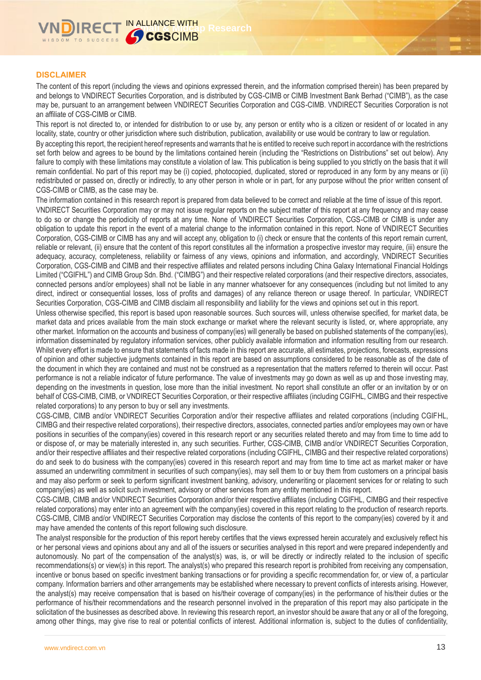### **DISCLAIMER**

The content of this report (including the views and opinions expressed therein, and the information comprised therein) has been prepared by and belongs to VNDIRECT Securities Corporation, and is distributed by CGS-CIMB or CIMB Investment Bank Berhad ("CIMB"), as the case may be, pursuant to an arrangement between VNDIRECT Securities Corporation and CGS-CIMB. VNDIRECT Securities Corporation is not an affiliate of CGS-CIMB or CIMB.

This report is not directed to, or intended for distribution to or use by, any person or entity who is a citizen or resident of or located in any locality, state, country or other jurisdiction where such distribution, publication, availability or use would be contrary to law or regulation.

By accepting this report, the recipient hereof represents and warrants that he is entitled to receive such report in accordance with the restrictions set forth below and agrees to be bound by the limitations contained herein (including the "Restrictions on Distributions" set out below). Any failure to comply with these limitations may constitute a violation of law. This publication is being supplied to you strictly on the basis that it will remain confidential. No part of this report may be (i) copied, photocopied, duplicated, stored or reproduced in any form by any means or (ii) redistributed or passed on, directly or indirectly, to any other person in whole or in part, for any purpose without the prior written consent of CGS-CIMB or CIMB, as the case may be.

The information contained in this research report is prepared from data believed to be correct and reliable at the time of issue of this report.

VNDIRECT Securities Corporation may or may not issue regular reports on the subject matter of this report at any frequency and may cease to do so or change the periodicity of reports at any time. None of VNDIRECT Securities Corporation, CGS-CIMB or CIMB is under any obligation to update this report in the event of a material change to the information contained in this report. None of VNDIRECT Securities Corporation, CGS-CIMB or CIMB has any and will accept any, obligation to (i) check or ensure that the contents of this report remain current, reliable or relevant, (ii) ensure that the content of this report constitutes all the information a prospective investor may require, (iii) ensure the adequacy, accuracy, completeness, reliability or fairness of any views, opinions and information, and accordingly, VNDIRECT Securities Corporation, CGS-CIMB and CIMB and their respective affiliates and related persons including China Galaxy International Financial Holdings Limited ("CGIFHL") and CIMB Group Sdn. Bhd. ("CIMBG") and their respective related corporations (and their respective directors, associates, connected persons and/or employees) shall not be liable in any manner whatsoever for any consequences (including but not limited to any direct, indirect or consequential losses, loss of profits and damages) of any reliance thereon or usage thereof. In particular, VNDIRECT Securities Corporation, CGS-CIMB and CIMB disclaim all responsibility and liability for the views and opinions set out in this report.

Unless otherwise specified, this report is based upon reasonable sources. Such sources will, unless otherwise specified, for market data, be market data and prices available from the main stock exchange or market where the relevant security is listed, or, where appropriate, any other market. Information on the accounts and business of company(ies) will generally be based on published statements of the company(ies), information disseminated by regulatory information services, other publicly available information and information resulting from our research. Whilst every effort is made to ensure that statements of facts made in this report are accurate, all estimates, projections, forecasts, expressions of opinion and other subjective judgments contained in this report are based on assumptions considered to be reasonable as of the date of the document in which they are contained and must not be construed as a representation that the matters referred to therein will occur. Past performance is not a reliable indicator of future performance. The value of investments may go down as well as up and those investing may, depending on the investments in question, lose more than the initial investment. No report shall constitute an offer or an invitation by or on behalf of CGS-CIMB, CIMB, or VNDIRECT Securities Corporation, or their respective affiliates (including CGIFHL, CIMBG and their respective related corporations) to any person to buy or sell any investments.

CGS-CIMB, CIMB and/or VNDIRECT Securities Corporation and/or their respective affiliates and related corporations (including CGIFHL, CIMBG and their respective related corporations), their respective directors, associates, connected parties and/or employees may own or have positions in securities of the company(ies) covered in this research report or any securities related thereto and may from time to time add to or dispose of, or may be materially interested in, any such securities. Further, CGS-CIMB, CIMB and/or VNDIRECT Securities Corporation, and/or their respective affiliates and their respective related corporations (including CGIFHL, CIMBG and their respective related corporations) do and seek to do business with the company(ies) covered in this research report and may from time to time act as market maker or have assumed an underwriting commitment in securities of such company(ies), may sell them to or buy them from customers on a principal basis and may also perform or seek to perform significant investment banking, advisory, underwriting or placement services for or relating to such company(ies) as well as solicit such investment, advisory or other services from any entity mentioned in this report.

CGS-CIMB, CIMB and/or VNDIRECT Securities Corporation and/or their respective affiliates (including CGIFHL, CIMBG and their respective related corporations) may enter into an agreement with the company(ies) covered in this report relating to the production of research reports. CGS-CIMB, CIMB and/or VNDIRECT Securities Corporation may disclose the contents of this report to the company(ies) covered by it and may have amended the contents of this report following such disclosure.

The analyst responsible for the production of this report hereby certifies that the views expressed herein accurately and exclusively reflect his or her personal views and opinions about any and all of the issuers or securities analysed in this report and were prepared independently and autonomously. No part of the compensation of the analyst(s) was, is, or will be directly or indirectly related to the inclusion of specific recommendations(s) or view(s) in this report. The analyst(s) who prepared this research report is prohibited from receiving any compensation, incentive or bonus based on specific investment banking transactions or for providing a specific recommendation for, or view of, a particular company. Information barriers and other arrangements may be established where necessary to prevent conflicts of interests arising. However, the analyst(s) may receive compensation that is based on his/their coverage of company(ies) in the performance of his/their duties or the performance of his/their recommendations and the research personnel involved in the preparation of this report may also participate in the solicitation of the businesses as described above. In reviewing this research report, an investor should be aware that any or all of the foregoing, among other things, may give rise to real or potential conflicts of interest. Additional information is, subject to the duties of confidentiality,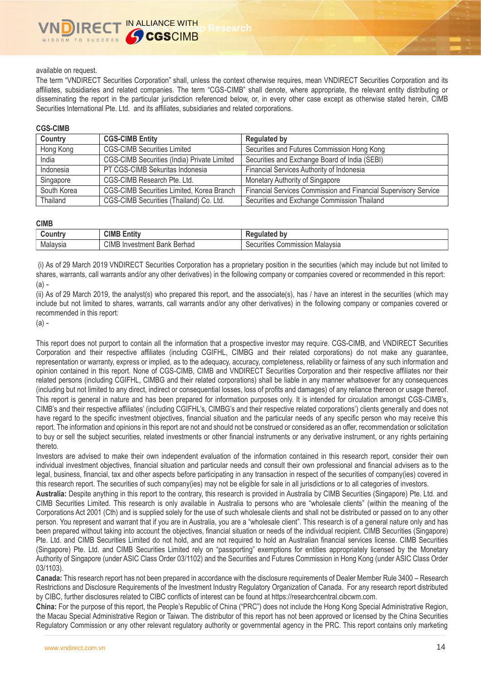### available on request.

The term "VNDIRECT Securities Corporation" shall, unless the context otherwise requires, mean VNDIRECT Securities Corporation and its affiliates, subsidiaries and related companies. The term "CGS-CIMB" shall denote, where appropriate, the relevant entity distributing or disseminating the report in the particular jurisdiction referenced below, or, in every other case except as otherwise stated herein, CIMB Securities International Pte. Ltd. and its affiliates, subsidiaries and related corporations.

### **CGS-CIMB**

| Country     | <b>CGS-CIMB Entity</b>                      | <b>Regulated by</b>                                             |
|-------------|---------------------------------------------|-----------------------------------------------------------------|
| Hong Kong   | <b>CGS-CIMB Securities Limited</b>          | Securities and Futures Commission Hong Kong                     |
| India       | CGS-CIMB Securities (India) Private Limited | Securities and Exchange Board of India (SEBI)                   |
| Indonesia   | PT CGS-CIMB Sekuritas Indonesia             | Financial Services Authority of Indonesia                       |
| Singapore   | CGS-CIMB Research Pte. Ltd.                 | Monetary Authority of Singapore                                 |
| South Korea | CGS-CIMB Securities Limited, Korea Branch   | Financial Services Commission and Financial Supervisory Service |
| Thailand    | CGS-CIMB Securities (Thailand) Co. Ltd.     | Securities and Exchange Commission Thailand                     |

### **CIMB**

| ountr    | <b>CIMB</b><br>Entity                    | .<br>⊾9.<br>----<br><b>DV</b><br>ייי           |
|----------|------------------------------------------|------------------------------------------------|
| Malaysia | <b>CIMB</b> Investment<br>Berhad<br>Bank | .<br>Malavsia<br>ommission<br>Securities<br>vu |

(i) As of 29 March 2019 VNDIRECT Securities Corporation has a proprietary position in the securities (which may include but not limited to shares, warrants, call warrants and/or any other derivatives) in the following company or companies covered or recommended in this report: (a) -

(ii) As of 29 March 2019, the analyst(s) who prepared this report, and the associate(s), has / have an interest in the securities (which may include but not limited to shares, warrants, call warrants and/or any other derivatives) in the following company or companies covered or recommended in this report:

(a) -

This report does not purport to contain all the information that a prospective investor may require. CGS-CIMB, and VNDIRECT Securities Corporation and their respective affiliates (including CGIFHL, CIMBG and their related corporations) do not make any guarantee, representation or warranty, express or implied, as to the adequacy, accuracy, completeness, reliability or fairness of any such information and opinion contained in this report. None of CGS-CIMB, CIMB and VNDIRECT Securities Corporation and their respective affiliates nor their related persons (including CGIFHL, CIMBG and their related corporations) shall be liable in any manner whatsoever for any consequences (including but not limited to any direct, indirect or consequential losses, loss of profits and damages) of any reliance thereon or usage thereof. This report is general in nature and has been prepared for information purposes only. It is intended for circulation amongst CGS-CIMB's, CIMB's and their respective affiliates' (including CGIFHL's, CIMBG's and their respective related corporations') clients generally and does not have regard to the specific investment objectives, financial situation and the particular needs of any specific person who may receive this report. The information and opinions in this report are not and should not be construed or considered as an offer, recommendation or solicitation to buy or sell the subject securities, related investments or other financial instruments or any derivative instrument, or any rights pertaining thereto.

Investors are advised to make their own independent evaluation of the information contained in this research report, consider their own individual investment objectives, financial situation and particular needs and consult their own professional and financial advisers as to the legal, business, financial, tax and other aspects before participating in any transaction in respect of the securities of company(ies) covered in this research report. The securities of such company(ies) may not be eligible for sale in all jurisdictions or to all categories of investors.

**Australia:** Despite anything in this report to the contrary, this research is provided in Australia by CIMB Securities (Singapore) Pte. Ltd. and CIMB Securities Limited. This research is only available in Australia to persons who are "wholesale clients" (within the meaning of the Corporations Act 2001 (Cth) and is supplied solely for the use of such wholesale clients and shall not be distributed or passed on to any other person. You represent and warrant that if you are in Australia, you are a "wholesale client". This research is of a general nature only and has been prepared without taking into account the objectives, financial situation or needs of the individual recipient. CIMB Securities (Singapore) Pte. Ltd. and CIMB Securities Limited do not hold, and are not required to hold an Australian financial services license. CIMB Securities (Singapore) Pte. Ltd. and CIMB Securities Limited rely on "passporting" exemptions for entities appropriately licensed by the Monetary Authority of Singapore (under ASIC Class Order 03/1102) and the Securities and Futures Commission in Hong Kong (under ASIC Class Order 03/1103).

**Canada:** This research report has not been prepared in accordance with the disclosure requirements of Dealer Member Rule 3400 – Research Restrictions and Disclosure Requirements of the Investment Industry Regulatory Organization of Canada. For any research report distributed by CIBC, further disclosures related to CIBC conflicts of interest can be found at https://researchcentral.cibcwm.com.

**China:** For the purpose of this report, the People's Republic of China ("PRC") does not include the Hong Kong Special Administrative Region, the Macau Special Administrative Region or Taiwan. The distributor of this report has not been approved or licensed by the China Securities Regulatory Commission or any other relevant regulatory authority or governmental agency in the PRC. This report contains only marketing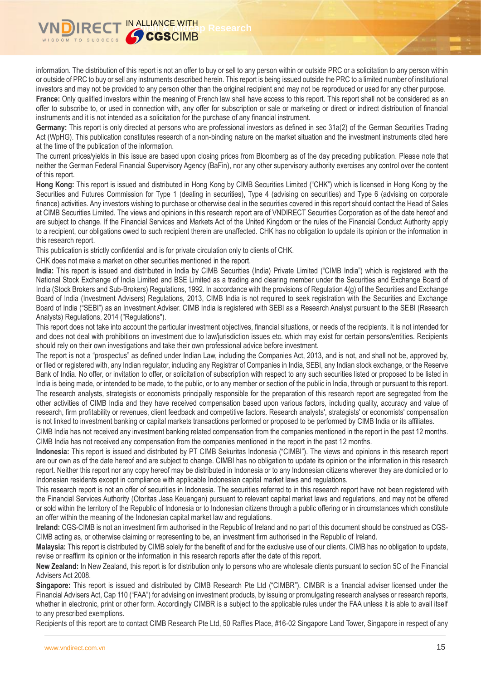information. The distribution of this report is not an offer to buy or sell to any person within or outside PRC or a solicitation to any person within or outside of PRC to buy or sell any instruments described herein. This report is being issued outside the PRC to a limited number of institutional investors and may not be provided to any person other than the original recipient and may not be reproduced or used for any other purpose. **France:** Only qualified investors within the meaning of French law shall have access to this report. This report shall not be considered as an offer to subscribe to, or used in connection with, any offer for subscription or sale or marketing or direct or indirect distribution of financial instruments and it is not intended as a solicitation for the purchase of any financial instrument.

**Germany:** This report is only directed at persons who are professional investors as defined in sec 31a(2) of the German Securities Trading Act (WpHG). This publication constitutes research of a non-binding nature on the market situation and the investment instruments cited here at the time of the publication of the information.

The current prices/yields in this issue are based upon closing prices from Bloomberg as of the day preceding publication. Please note that neither the German Federal Financial Supervisory Agency (BaFin), nor any other supervisory authority exercises any control over the content of this report.

**Hong Kong:** This report is issued and distributed in Hong Kong by CIMB Securities Limited ("CHK") which is licensed in Hong Kong by the Securities and Futures Commission for Type 1 (dealing in securities), Type 4 (advising on securities) and Type 6 (advising on corporate finance) activities. Any investors wishing to purchase or otherwise deal in the securities covered in this report should contact the Head of Sales at CIMB Securities Limited. The views and opinions in this research report are of VNDIRECT Securities Corporation as of the date hereof and are subject to change. If the Financial Services and Markets Act of the United Kingdom or the rules of the Financial Conduct Authority apply to a recipient, our obligations owed to such recipient therein are unaffected. CHK has no obligation to update its opinion or the information in this research report.

This publication is strictly confidential and is for private circulation only to clients of CHK.

CHK does not make a market on other securities mentioned in the report.

**India:** This report is issued and distributed in India by CIMB Securities (India) Private Limited ("CIMB India") which is registered with the National Stock Exchange of India Limited and BSE Limited as a trading and clearing member under the Securities and Exchange Board of India (Stock Brokers and Sub-Brokers) Regulations, 1992. In accordance with the provisions of Regulation 4(g) of the Securities and Exchange Board of India (Investment Advisers) Regulations, 2013, CIMB India is not required to seek registration with the Securities and Exchange Board of India ("SEBI") as an Investment Adviser. CIMB India is registered with SEBI as a Research Analyst pursuant to the SEBI (Research Analysts) Regulations, 2014 ("Regulations").

This report does not take into account the particular investment objectives, financial situations, or needs of the recipients. It is not intended for and does not deal with prohibitions on investment due to law/jurisdiction issues etc. which may exist for certain persons/entities. Recipients should rely on their own investigations and take their own professional advice before investment.

The report is not a "prospectus" as defined under Indian Law, including the Companies Act, 2013, and is not, and shall not be, approved by, or filed or registered with, any Indian regulator, including any Registrar of Companies in India, SEBI, any Indian stock exchange, or the Reserve Bank of India. No offer, or invitation to offer, or solicitation of subscription with respect to any such securities listed or proposed to be listed in India is being made, or intended to be made, to the public, or to any member or section of the public in India, through or pursuant to this report. The research analysts, strategists or economists principally responsible for the preparation of this research report are segregated from the other activities of CIMB India and they have received compensation based upon various factors, including quality, accuracy and value of research, firm profitability or revenues, client feedback and competitive factors. Research analysts', strategists' or economists' compensation is not linked to investment banking or capital markets transactions performed or proposed to be performed by CIMB India or its affiliates.

CIMB India has not received any investment banking related compensation from the companies mentioned in the report in the past 12 months. CIMB India has not received any compensation from the companies mentioned in the report in the past 12 months.

**Indonesia:** This report is issued and distributed by PT CIMB Sekuritas Indonesia ("CIMBI"). The views and opinions in this research report are our own as of the date hereof and are subject to change. CIMBI has no obligation to update its opinion or the information in this research report. Neither this report nor any copy hereof may be distributed in Indonesia or to any Indonesian citizens wherever they are domiciled or to Indonesian residents except in compliance with applicable Indonesian capital market laws and regulations.

This research report is not an offer of securities in Indonesia. The securities referred to in this research report have not been registered with the Financial Services Authority (Otoritas Jasa Keuangan) pursuant to relevant capital market laws and regulations, and may not be offered or sold within the territory of the Republic of Indonesia or to Indonesian citizens through a public offering or in circumstances which constitute an offer within the meaning of the Indonesian capital market law and regulations.

**Ireland:** CGS-CIMB is not an investment firm authorised in the Republic of Ireland and no part of this document should be construed as CGS-CIMB acting as, or otherwise claiming or representing to be, an investment firm authorised in the Republic of Ireland.

**Malaysia:** This report is distributed by CIMB solely for the benefit of and for the exclusive use of our clients. CIMB has no obligation to update, revise or reaffirm its opinion or the information in this research reports after the date of this report.

**New Zealand:** In New Zealand, this report is for distribution only to persons who are wholesale clients pursuant to section 5C of the Financial Advisers Act 2008.

**Singapore:** This report is issued and distributed by CIMB Research Pte Ltd ("CIMBR"). CIMBR is a financial adviser licensed under the Financial Advisers Act, Cap 110 ("FAA") for advising on investment products, by issuing or promulgating research analyses or research reports, whether in electronic, print or other form. Accordingly CIMBR is a subject to the applicable rules under the FAA unless it is able to avail itself to any prescribed exemptions.

Recipients of this report are to contact CIMB Research Pte Ltd, 50 Raffles Place, #16-02 Singapore Land Tower, Singapore in respect of any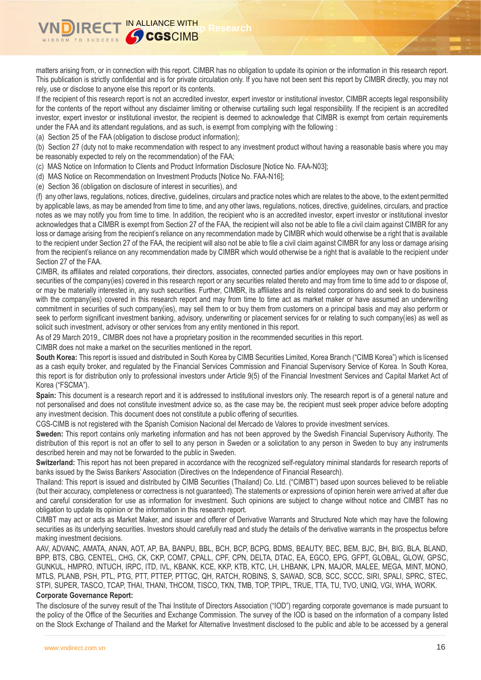matters arising from, or in connection with this report. CIMBR has no obligation to update its opinion or the information in this research report. This publication is strictly confidential and is for private circulation only. If you have not been sent this report by CIMBR directly, you may not rely, use or disclose to anyone else this report or its contents.

If the recipient of this research report is not an accredited investor, expert investor or institutional investor, CIMBR accepts legal responsibility for the contents of the report without any disclaimer limiting or otherwise curtailing such legal responsibility. If the recipient is an accredited investor, expert investor or institutional investor, the recipient is deemed to acknowledge that CIMBR is exempt from certain requirements under the FAA and its attendant regulations, and as such, is exempt from complying with the following :

(a) Section 25 of the FAA (obligation to disclose product information);

(b) Section 27 (duty not to make recommendation with respect to any investment product without having a reasonable basis where you may be reasonably expected to rely on the recommendation) of the FAA;

(c) MAS Notice on Information to Clients and Product Information Disclosure [Notice No. FAA-N03];

**IN ALLIANCE WITH<br>IN ALLIANCE WITH Research** 

(d) MAS Notice on Recommendation on Investment Products [Notice No. FAA-N16];

(e) Section 36 (obligation on disclosure of interest in securities), and

(f) any other laws, regulations, notices, directive, guidelines, circulars and practice notes which are relates to the above, to the extent permitted by applicable laws, as may be amended from time to time, and any other laws, regulations, notices, directive, guidelines, circulars, and practice notes as we may notify you from time to time. In addition, the recipient who is an accredited investor, expert investor or institutional investor acknowledges that a CIMBR is exempt from Section 27 of the FAA, the recipient will also not be able to file a civil claim against CIMBR for any loss or damage arising from the recipient's reliance on any recommendation made by CIMBR which would otherwise be a right that is available to the recipient under Section 27 of the FAA, the recipient will also not be able to file a civil claim against CIMBR for any loss or damage arising from the recipient's reliance on any recommendation made by CIMBR which would otherwise be a right that is available to the recipient under Section 27 of the FAA.

CIMBR, its affiliates and related corporations, their directors, associates, connected parties and/or employees may own or have positions in securities of the company(ies) covered in this research report or any securities related thereto and may from time to time add to or dispose of. or may be materially interested in, any such securities. Further, CIMBR, its affiliates and its related corporations do and seek to do business with the company(ies) covered in this research report and may from time to time act as market maker or have assumed an underwriting commitment in securities of such company(ies), may sell them to or buy them from customers on a principal basis and may also perform or seek to perform significant investment banking, advisory, underwriting or placement services for or relating to such company(ies) as well as solicit such investment, advisory or other services from any entity mentioned in this report.

As of 29 March 2019,, CIMBR does not have a proprietary position in the recommended securities in this report.

CIMBR does not make a market on the securities mentioned in the report.

**South Korea:** This report is issued and distributed in South Korea by CIMB Securities Limited, Korea Branch ("CIMB Korea") which is licensed as a cash equity broker, and regulated by the Financial Services Commission and Financial Supervisory Service of Korea. In South Korea, this report is for distribution only to professional investors under Article 9(5) of the Financial Investment Services and Capital Market Act of Korea ("FSCMA").

**Spain:** This document is a research report and it is addressed to institutional investors only. The research report is of a general nature and not personalised and does not constitute investment advice so, as the case may be, the recipient must seek proper advice before adopting any investment decision. This document does not constitute a public offering of securities.

CGS-CIMB is not registered with the Spanish Comision Nacional del Mercado de Valores to provide investment services.

**Sweden:** This report contains only marketing information and has not been approved by the Swedish Financial Supervisory Authority. The distribution of this report is not an offer to sell to any person in Sweden or a solicitation to any person in Sweden to buy any instruments described herein and may not be forwarded to the public in Sweden.

**Switzerland:** This report has not been prepared in accordance with the recognized self-regulatory minimal standards for research reports of banks issued by the Swiss Bankers' Association (Directives on the Independence of Financial Research).

Thailand: This report is issued and distributed by CIMB Securities (Thailand) Co. Ltd. ("CIMBT") based upon sources believed to be reliable (but their accuracy, completeness or correctness is not guaranteed). The statements or expressions of opinion herein were arrived at after due and careful consideration for use as information for investment. Such opinions are subject to change without notice and CIMBT has no obligation to update its opinion or the information in this research report.

CIMBT may act or acts as Market Maker, and issuer and offerer of Derivative Warrants and Structured Note which may have the following securities as its underlying securities. Investors should carefully read and study the details of the derivative warrants in the prospectus before making investment decisions.

AAV, ADVANC, AMATA, ANAN, AOT, AP, BA, BANPU, BBL, BCH, BCP, BCPG, BDMS, BEAUTY, BEC, BEM, BJC, BH, BIG, BLA, BLAND, BPP, BTS, CBG, CENTEL, CHG, CK, CKP, COM7, CPALL, CPF, CPN, DELTA, DTAC, EA, EGCO, EPG, GFPT, GLOBAL, GLOW, GPSC, GUNKUL, HMPRO, INTUCH, IRPC, ITD, IVL, KBANK, KCE, KKP, KTB, KTC, LH, LHBANK, LPN, MAJOR, MALEE, MEGA, MINT, MONO, MTLS, PLANB, PSH, PTL, PTG, PTT, PTTEP, PTTGC, QH, RATCH, ROBINS, S, SAWAD, SCB, SCC, SCCC, SIRI, SPALI, SPRC, STEC, STPI, SUPER, TASCO, TCAP, THAI, THANI, THCOM, TISCO, TKN, TMB, TOP, TPIPL, TRUE, TTA, TU, TVO, UNIQ, VGI, WHA, WORK.

### **Corporate Governance Report:**

The disclosure of the survey result of the Thai Institute of Directors Association ("IOD") regarding corporate governance is made pursuant to the policy of the Office of the Securities and Exchange Commission. The survey of the IOD is based on the information of a company listed on the Stock Exchange of Thailand and the Market for Alternative Investment disclosed to the public and able to be accessed by a general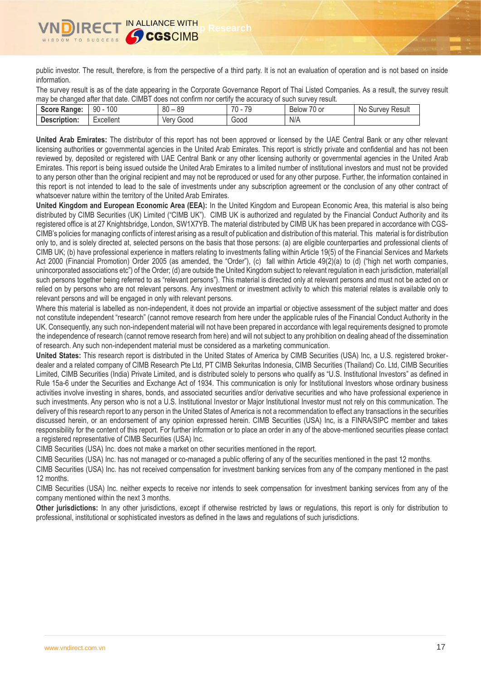public investor. The result, therefore, is from the perspective of a third party. It is not an evaluation of operation and is not based on inside information.

The survey result is as of the date appearing in the Corporate Governance Report of Thai Listed Companies. As a result, the survey result may be changed after that date. CIMBT does not confirm nor certify the accuracy of such survey result.

| 500ra<br>ore Range:<br>-96 | 100<br>90 | 0C<br>80<br>οz | 70<br>7 <sup>c</sup> | $\neg$<br>-<br>/U or<br><b>Below</b> | No<br>Result<br>. vev<br>ur <sup>.</sup> |
|----------------------------|-----------|----------------|----------------------|--------------------------------------|------------------------------------------|
| Description:               | -xcellent | ver<br>Good    | Good                 | N/A                                  |                                          |

**United Arab Emirates:** The distributor of this report has not been approved or licensed by the UAE Central Bank or any other relevant licensing authorities or governmental agencies in the United Arab Emirates. This report is strictly private and confidential and has not been reviewed by, deposited or registered with UAE Central Bank or any other licensing authority or governmental agencies in the United Arab Emirates. This report is being issued outside the United Arab Emirates to a limited number of institutional investors and must not be provided to any person other than the original recipient and may not be reproduced or used for any other purpose. Further, the information contained in this report is not intended to lead to the sale of investments under any subscription agreement or the conclusion of any other contract of whatsoever nature within the territory of the United Arab Emirates.

**United Kingdom and European Economic Area (EEA):** In the United Kingdom and European Economic Area, this material is also being distributed by CIMB Securities (UK) Limited ("CIMB UK"). CIMB UK is authorized and regulated by the Financial Conduct Authority and its registered office is at 27 Knightsbridge, London, SW1X7YB. The material distributed by CIMB UK has been prepared in accordance with CGS-CIMB's policies for managing conflicts of interest arising as a result of publication and distribution of this material. This material is for distribution only to, and is solely directed at, selected persons on the basis that those persons: (a) are eligible counterparties and professional clients of CIMB UK; (b) have professional experience in matters relating to investments falling within Article 19(5) of the Financial Services and Markets Act 2000 (Financial Promotion) Order 2005 (as amended, the "Order"), (c) fall within Article 49(2)(a) to (d) ("high net worth companies, unincorporated associations etc") of the Order; (d) are outside the United Kingdom subject to relevant regulation in each jurisdiction, material(all such persons together being referred to as "relevant persons"). This material is directed only at relevant persons and must not be acted on or relied on by persons who are not relevant persons. Any investment or investment activity to which this material relates is available only to relevant persons and will be engaged in only with relevant persons.

Where this material is labelled as non-independent, it does not provide an impartial or objective assessment of the subject matter and does not constitute independent "research" (cannot remove research from here under the applicable rules of the Financial Conduct Authority in the UK. Consequently, any such non-independent material will not have been prepared in accordance with legal requirements designed to promote the independence of research (cannot remove research from here) and will not subject to any prohibition on dealing ahead of the dissemination of research. Any such non-independent material must be considered as a marketing communication.

**United States:** This research report is distributed in the United States of America by CIMB Securities (USA) Inc, a U.S. registered brokerdealer and a related company of CIMB Research Pte Ltd, PT CIMB Sekuritas Indonesia, CIMB Securities (Thailand) Co. Ltd, CIMB Securities Limited, CIMB Securities (India) Private Limited, and is distributed solely to persons who qualify as "U.S. Institutional Investors" as defined in Rule 15a-6 under the Securities and Exchange Act of 1934. This communication is only for Institutional Investors whose ordinary business activities involve investing in shares, bonds, and associated securities and/or derivative securities and who have professional experience in such investments. Any person who is not a U.S. Institutional Investor or Major Institutional Investor must not rely on this communication. The delivery of this research report to any person in the United States of America is not a recommendation to effect any transactions in the securities discussed herein, or an endorsement of any opinion expressed herein. CIMB Securities (USA) Inc, is a FINRA/SIPC member and takes responsibility for the content of this report. For further information or to place an order in any of the above-mentioned securities please contact a registered representative of CIMB Securities (USA) Inc.

CIMB Securities (USA) Inc. does not make a market on other securities mentioned in the report.

CIMB Securities (USA) Inc. has not managed or co-managed a public offering of any of the securities mentioned in the past 12 months.

CIMB Securities (USA) Inc. has not received compensation for investment banking services from any of the company mentioned in the past 12 months.

CIMB Securities (USA) Inc. neither expects to receive nor intends to seek compensation for investment banking services from any of the company mentioned within the next 3 months.

**Other jurisdictions:** In any other jurisdictions, except if otherwise restricted by laws or regulations, this report is only for distribution to professional, institutional or sophisticated investors as defined in the laws and regulations of such jurisdictions.